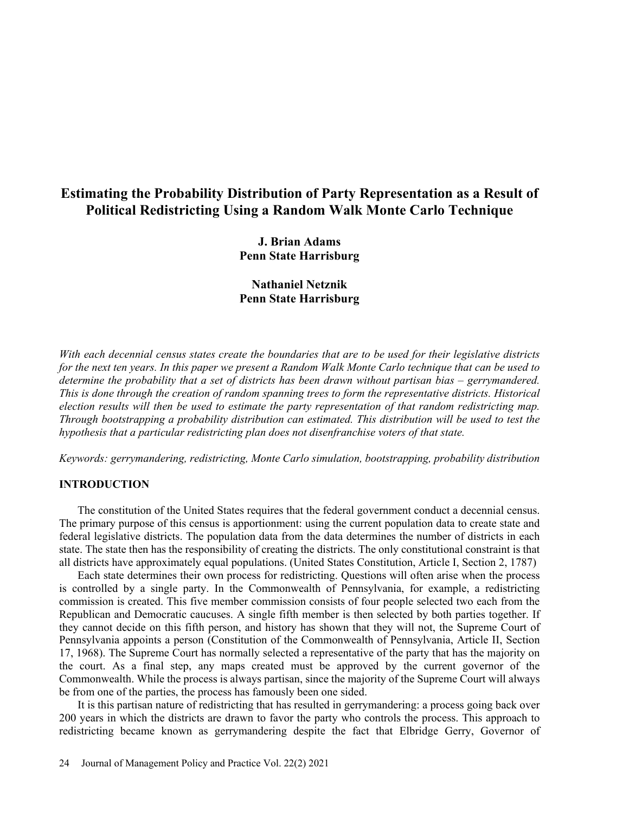# **Estimating the Probability Distribution of Party Representation as a Result of Political Redistricting Using a Random Walk Monte Carlo Technique**

**J. Brian Adams Penn State Harrisburg**

**Nathaniel Netznik Penn State Harrisburg**

*With each decennial census states create the boundaries that are to be used for their legislative districts for the next ten years. In this paper we present a Random Walk Monte Carlo technique that can be used to determine the probability that a set of districts has been drawn without partisan bias – gerrymandered. This is done through the creation of random spanning trees to form the representative districts. Historical election results will then be used to estimate the party representation of that random redistricting map. Through bootstrapping a probability distribution can estimated. This distribution will be used to test the hypothesis that a particular redistricting plan does not disenfranchise voters of that state.*

*Keywords: gerrymandering, redistricting, Monte Carlo simulation, bootstrapping, probability distribution*

### **INTRODUCTION**

The constitution of the United States requires that the federal government conduct a decennial census. The primary purpose of this census is apportionment: using the current population data to create state and federal legislative districts. The population data from the data determines the number of districts in each state. The state then has the responsibility of creating the districts. The only constitutional constraint is that all districts have approximately equal populations. (United States Constitution, Article I, Section 2, 1787)

Each state determines their own process for redistricting. Questions will often arise when the process is controlled by a single party. In the Commonwealth of Pennsylvania, for example, a redistricting commission is created. This five member commission consists of four people selected two each from the Republican and Democratic caucuses. A single fifth member is then selected by both parties together. If they cannot decide on this fifth person, and history has shown that they will not, the Supreme Court of Pennsylvania appoints a person (Constitution of the Commonwealth of Pennsylvania, Article II, Section 17, 1968). The Supreme Court has normally selected a representative of the party that has the majority on the court. As a final step, any maps created must be approved by the current governor of the Commonwealth. While the process is always partisan, since the majority of the Supreme Court will always be from one of the parties, the process has famously been one sided.

It is this partisan nature of redistricting that has resulted in gerrymandering: a process going back over 200 years in which the districts are drawn to favor the party who controls the process. This approach to redistricting became known as gerrymandering despite the fact that Elbridge Gerry, Governor of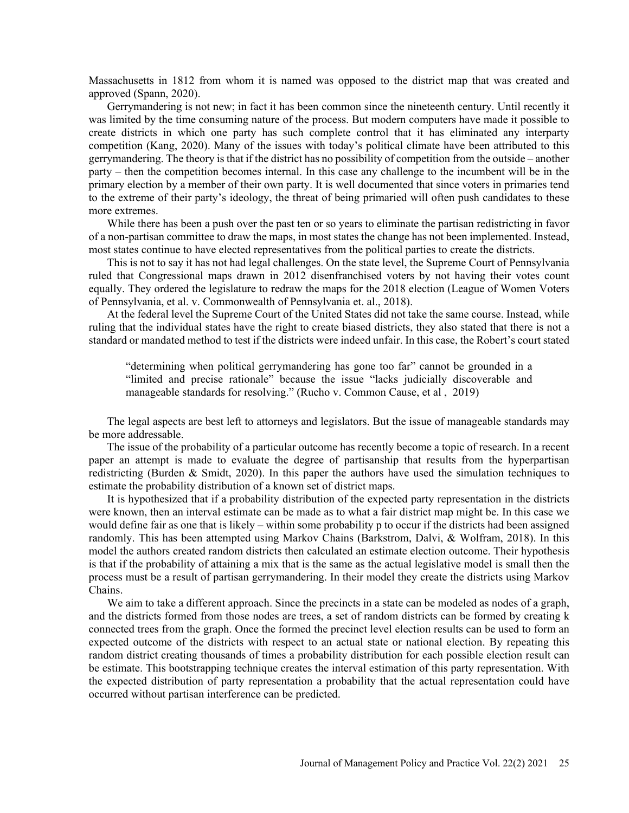Massachusetts in 1812 from whom it is named was opposed to the district map that was created and approved (Spann, 2020).

Gerrymandering is not new; in fact it has been common since the nineteenth century. Until recently it was limited by the time consuming nature of the process. But modern computers have made it possible to create districts in which one party has such complete control that it has eliminated any interparty competition (Kang, 2020). Many of the issues with today's political climate have been attributed to this gerrymandering. The theory is that if the district has no possibility of competition from the outside – another party – then the competition becomes internal. In this case any challenge to the incumbent will be in the primary election by a member of their own party. It is well documented that since voters in primaries tend to the extreme of their party's ideology, the threat of being primaried will often push candidates to these more extremes.

While there has been a push over the past ten or so years to eliminate the partisan redistricting in favor of a non-partisan committee to draw the maps, in most states the change has not been implemented. Instead, most states continue to have elected representatives from the political parties to create the districts.

This is not to say it has not had legal challenges. On the state level, the Supreme Court of Pennsylvania ruled that Congressional maps drawn in 2012 disenfranchised voters by not having their votes count equally. They ordered the legislature to redraw the maps for the 2018 election (League of Women Voters of Pennsylvania, et al. v. Commonwealth of Pennsylvania et. al., 2018).

At the federal level the Supreme Court of the United States did not take the same course. Instead, while ruling that the individual states have the right to create biased districts, they also stated that there is not a standard or mandated method to test if the districts were indeed unfair. In this case, the Robert's court stated

"determining when political gerrymandering has gone too far" cannot be grounded in a "limited and precise rationale" because the issue "lacks judicially discoverable and manageable standards for resolving." (Rucho v. Common Cause, et al , 2019)

The legal aspects are best left to attorneys and legislators. But the issue of manageable standards may be more addressable.

The issue of the probability of a particular outcome has recently become a topic of research. In a recent paper an attempt is made to evaluate the degree of partisanship that results from the hyperpartisan redistricting (Burden & Smidt, 2020). In this paper the authors have used the simulation techniques to estimate the probability distribution of a known set of district maps.

It is hypothesized that if a probability distribution of the expected party representation in the districts were known, then an interval estimate can be made as to what a fair district map might be. In this case we would define fair as one that is likely – within some probability p to occur if the districts had been assigned randomly. This has been attempted using Markov Chains (Barkstrom, Dalvi, & Wolfram, 2018). In this model the authors created random districts then calculated an estimate election outcome. Their hypothesis is that if the probability of attaining a mix that is the same as the actual legislative model is small then the process must be a result of partisan gerrymandering. In their model they create the districts using Markov Chains.

We aim to take a different approach. Since the precincts in a state can be modeled as nodes of a graph, and the districts formed from those nodes are trees, a set of random districts can be formed by creating k connected trees from the graph. Once the formed the precinct level election results can be used to form an expected outcome of the districts with respect to an actual state or national election. By repeating this random district creating thousands of times a probability distribution for each possible election result can be estimate. This bootstrapping technique creates the interval estimation of this party representation. With the expected distribution of party representation a probability that the actual representation could have occurred without partisan interference can be predicted.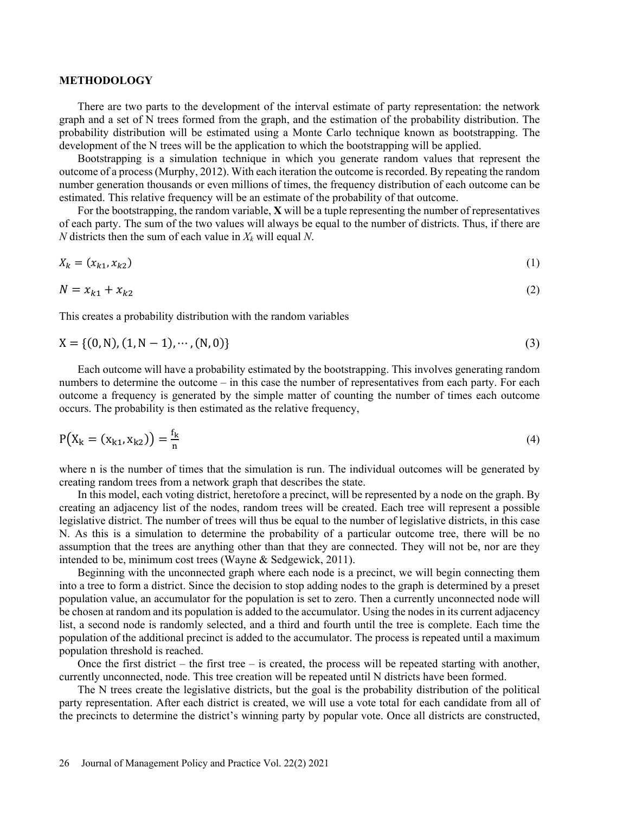### **METHODOLOGY**

There are two parts to the development of the interval estimate of party representation: the network graph and a set of N trees formed from the graph, and the estimation of the probability distribution. The probability distribution will be estimated using a Monte Carlo technique known as bootstrapping. The development of the N trees will be the application to which the bootstrapping will be applied.

Bootstrapping is a simulation technique in which you generate random values that represent the outcome of a process(Murphy, 2012). With each iteration the outcome is recorded. By repeating the random number generation thousands or even millions of times, the frequency distribution of each outcome can be estimated. This relative frequency will be an estimate of the probability of that outcome.

For the bootstrapping, the random variable, **X** will be a tuple representing the number of representatives of each party. The sum of the two values will always be equal to the number of districts. Thus, if there are *N* districts then the sum of each value in  $X_k$  will equal *N*.

$$
X_k = (x_{k1}, x_{k2})
$$
\n<sup>(1)</sup>

$$
N = x_{k1} + x_{k2} \tag{2}
$$

This creates a probability distribution with the random variables

$$
X = \{(0, N), (1, N - 1), \cdots, (N, 0)\}\tag{3}
$$

Each outcome will have a probability estimated by the bootstrapping. This involves generating random numbers to determine the outcome – in this case the number of representatives from each party. For each outcome a frequency is generated by the simple matter of counting the number of times each outcome occurs. The probability is then estimated as the relative frequency,

$$
P(X_k = (x_{k1}, x_{k2})) = \frac{f_k}{n}
$$
 (4)

where n is the number of times that the simulation is run. The individual outcomes will be generated by creating random trees from a network graph that describes the state.

In this model, each voting district, heretofore a precinct, will be represented by a node on the graph. By creating an adjacency list of the nodes, random trees will be created. Each tree will represent a possible legislative district. The number of trees will thus be equal to the number of legislative districts, in this case N. As this is a simulation to determine the probability of a particular outcome tree, there will be no assumption that the trees are anything other than that they are connected. They will not be, nor are they intended to be, minimum cost trees (Wayne & Sedgewick, 2011).

Beginning with the unconnected graph where each node is a precinct, we will begin connecting them into a tree to form a district. Since the decision to stop adding nodes to the graph is determined by a preset population value, an accumulator for the population is set to zero. Then a currently unconnected node will be chosen at random and its population is added to the accumulator. Using the nodes in its current adjacency list, a second node is randomly selected, and a third and fourth until the tree is complete. Each time the population of the additional precinct is added to the accumulator. The process is repeated until a maximum population threshold is reached.

Once the first district – the first tree – is created, the process will be repeated starting with another, currently unconnected, node. This tree creation will be repeated until N districts have been formed.

The N trees create the legislative districts, but the goal is the probability distribution of the political party representation. After each district is created, we will use a vote total for each candidate from all of the precincts to determine the district's winning party by popular vote. Once all districts are constructed,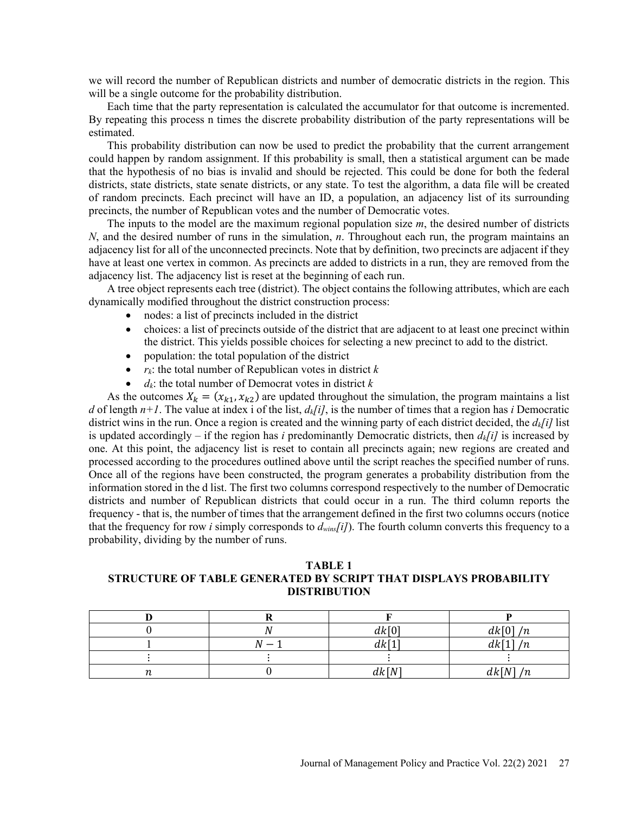we will record the number of Republican districts and number of democratic districts in the region. This will be a single outcome for the probability distribution.

Each time that the party representation is calculated the accumulator for that outcome is incremented. By repeating this process n times the discrete probability distribution of the party representations will be estimated.

This probability distribution can now be used to predict the probability that the current arrangement could happen by random assignment. If this probability is small, then a statistical argument can be made that the hypothesis of no bias is invalid and should be rejected. This could be done for both the federal districts, state districts, state senate districts, or any state. To test the algorithm, a data file will be created of random precincts. Each precinct will have an ID, a population, an adjacency list of its surrounding precincts, the number of Republican votes and the number of Democratic votes.

The inputs to the model are the maximum regional population size *m*, the desired number of districts *N*, and the desired number of runs in the simulation, *n*. Throughout each run, the program maintains an adjacency list for all of the unconnected precincts. Note that by definition, two precincts are adjacent if they have at least one vertex in common. As precincts are added to districts in a run, they are removed from the adjacency list. The adjacency list is reset at the beginning of each run.

A tree object represents each tree (district). The object contains the following attributes, which are each dynamically modified throughout the district construction process:

- nodes: a list of precincts included in the district
- choices: a list of precincts outside of the district that are adjacent to at least one precinct within the district. This yields possible choices for selecting a new precinct to add to the district.
- population: the total population of the district
- $r_k$ : the total number of Republican votes in district  $k$
- *dk*: the total number of Democrat votes in district *k*

As the outcomes  $X_k = (x_{k1}, x_{k2})$  are updated throughout the simulation, the program maintains a list *d* of length  $n+1$ . The value at index i of the list,  $d_k[i]$ , is the number of times that a region has *i* Democratic district wins in the run. Once a region is created and the winning party of each district decided, the *dk[i]* list is updated accordingly – if the region has *i* predominantly Democratic districts, then  $d_k[i]$  is increased by one. At this point, the adjacency list is reset to contain all precincts again; new regions are created and processed according to the procedures outlined above until the script reaches the specified number of runs. Once all of the regions have been constructed, the program generates a probability distribution from the information stored in the d list. The first two columns correspond respectively to the number of Democratic districts and number of Republican districts that could occur in a run. The third column reports the frequency - that is, the number of times that the arrangement defined in the first two columns occurs (notice that the frequency for row *i* simply corresponds to *dwins[i]*). The fourth column converts this frequency to a probability, dividing by the number of runs.

# **TABLE 1 STRUCTURE OF TABLE GENERATED BY SCRIPT THAT DISPLAYS PROBABILITY DISTRIBUTION**

|    |   | dk[0] | dk[0]/n |
|----|---|-------|---------|
|    | N | dk[1] | dk[1]/n |
|    |   |       |         |
| ıı |   | dk[N] | dk[N]/n |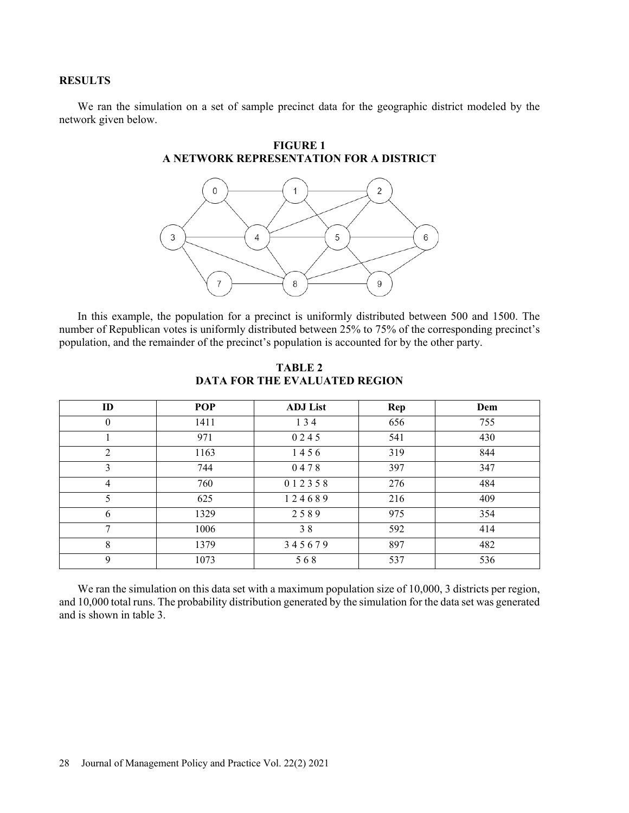# **RESULTS**

We ran the simulation on a set of sample precinct data for the geographic district modeled by the network given below.



In this example, the population for a precinct is uniformly distributed between 500 and 1500. The number of Republican votes is uniformly distributed between 25% to 75% of the corresponding precinct's population, and the remainder of the precinct's population is accounted for by the other party.

| ID             | <b>POP</b> | <b>ADJ</b> List | Rep | Dem |
|----------------|------------|-----------------|-----|-----|
| $\theta$       | 1411       | 134             | 656 | 755 |
|                | 971        | 0245            | 541 | 430 |
| $\overline{2}$ | 1163       | 1456            | 319 | 844 |
| 3              | 744        | 0478            | 397 | 347 |
| $\overline{4}$ | 760        | 012358          | 276 | 484 |
| 5              | 625        | 124689          | 216 | 409 |
| 6              | 1329       | 2589            | 975 | 354 |
| 7              | 1006       | 38              | 592 | 414 |
| 8              | 1379       | 345679          | 897 | 482 |
| 9              | 1073       | 568             | 537 | 536 |

**TABLE 2 DATA FOR THE EVALUATED REGION**

We ran the simulation on this data set with a maximum population size of 10,000, 3 districts per region, and 10,000 total runs. The probability distribution generated by the simulation for the data set was generated and is shown in table 3.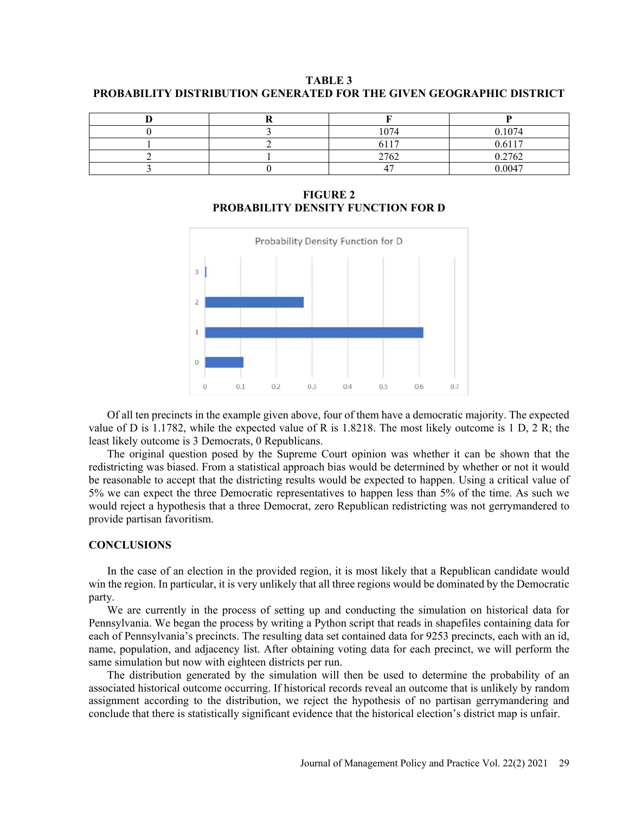**TABLE 3 PROBABILITY DISTRIBUTION GENERATED FOR THE GIVEN GEOGRAPHIC DISTRICT**

|  | 1074       | 0.1074 |
|--|------------|--------|
|  | 6117       | 0.6117 |
|  | 2762       | 0.2762 |
|  | $\epsilon$ | 0.0047 |

**FIGURE 2 PROBABILITY DENSITY FUNCTION FOR D**



Of all ten precincts in the example given above, four of them have a democratic majority. The expected value of D is 1.1782, while the expected value of R is 1.8218. The most likely outcome is 1 D, 2 R; the least likely outcome is 3 Democrats, 0 Republicans.

The original question posed by the Supreme Court opinion was whether it can be shown that the redistricting was biased. From a statistical approach bias would be determined by whether or not it would be reasonable to accept that the districting results would be expected to happen. Using a critical value of 5% we can expect the three Democratic representatives to happen less than 5% of the time. As such we would reject a hypothesis that a three Democrat, zero Republican redistricting was not gerrymandered to provide partisan favoritism.

## **CONCLUSIONS**

In the case of an election in the provided region, it is most likely that a Republican candidate would win the region. In particular, it is very unlikely that all three regions would be dominated by the Democratic party.

We are currently in the process of setting up and conducting the simulation on historical data for Pennsylvania. We began the process by writing a Python script that reads in shapefiles containing data for each of Pennsylvania's precincts. The resulting data set contained data for 9253 precincts, each with an id, name, population, and adjacency list. After obtaining voting data for each precinct, we will perform the same simulation but now with eighteen districts per run.

The distribution generated by the simulation will then be used to determine the probability of an associated historical outcome occurring. If historical records reveal an outcome that is unlikely by random assignment according to the distribution, we reject the hypothesis of no partisan gerrymandering and conclude that there is statistically significant evidence that the historical election's district map is unfair.